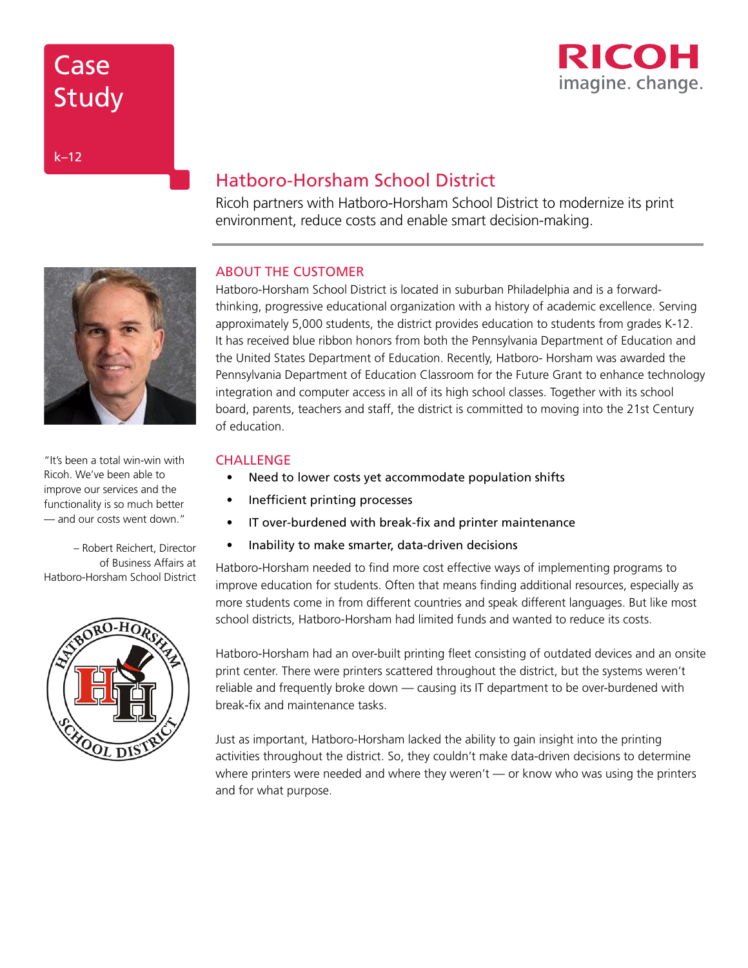# **Case** Study



k–12

## Hatboro-Horsham School District

Ricoh partners with Hatboro-Horsham School District to modernize its print environment, reduce costs and enable smart decision-making.

## ABOUT THE CUSTOMER

Hatboro-Horsham School District is located in suburban Philadelphia and is a forwardthinking, progressive educational organization with a history of academic excellence. Serving approximately 5,000 students, the district provides education to students from grades K-12. It has received blue ribbon honors from both the Pennsylvania Department of Education and the United States Department of Education. Recently, Hatboro- Horsham was awarded the Pennsylvania Department of Education Classroom for the Future Grant to enhance technology integration and computer access in all of its high school classes. Together with its school board, parents, teachers and staff, the district is committed to moving into the 21st Century of education.

## **CHALLENGE**

- Need to lower costs yet accommodate population shifts
- Inefficient printing processes
- IT over-burdened with break-fix and printer maintenance
- Inability to make smarter, data-driven decisions

Hatboro-Horsham needed to find more cost effective ways of implementing programs to improve education for students. Often that means finding additional resources, especially as more students come in from different countries and speak different languages. But like most school districts, Hatboro-Horsham had limited funds and wanted to reduce its costs.

Hatboro-Horsham had an over-built printing fleet consisting of outdated devices and an onsite print center. There were printers scattered throughout the district, but the systems weren't reliable and frequently broke down — causing its IT department to be over-burdened with break-fix and maintenance tasks.

Just as important, Hatboro-Horsham lacked the ability to gain insight into the printing activities throughout the district. So, they couldn't make data-driven decisions to determine where printers were needed and where they weren't — or know who was using the printers and for what purpose.



"It's been a total win-win with Ricoh. We've been able to improve our services and the functionality is so much better — and our costs went down."

– Robert Reichert, Director of Business Affairs at Hatboro-Horsham School District